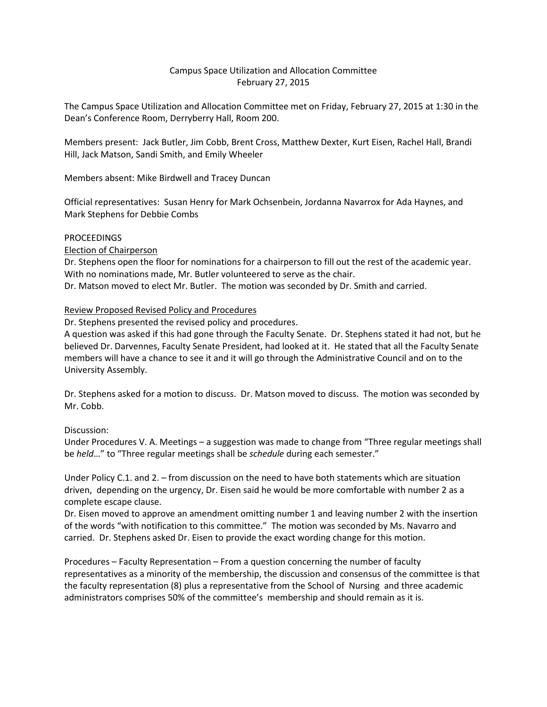## Campus Space Utilization and Allocation Committee February 27, 2015

The Campus Space Utilization and Allocation Committee met on Friday, February 27, 2015 at 1:30 in the Dean's Conference Room, Derryberry Hall, Room 200.

Members present: Jack Butler, Jim Cobb, Brent Cross, Matthew Dexter, Kurt Eisen, Rachel Hall, Brandi Hill, Jack Matson, Sandi Smith, and Emily Wheeler

Members absent: Mike Birdwell and Tracey Duncan

Official representatives: Susan Henry for Mark Ochsenbein, Jordanna Navarrox for Ada Haynes, and Mark Stephens for Debbie Combs

## **PROCEEDINGS**

Election of Chairperson

Dr. Stephens open the floor for nominations for a chairperson to fill out the rest of the academic year. With no nominations made, Mr. Butler volunteered to serve as the chair. Dr. Matson moved to elect Mr. Butler. The motion was seconded by Dr. Smith and carried.

## Review Proposed Revised Policy and Procedures

Dr. Stephens presented the revised policy and procedures.

A question was asked if this had gone through the Faculty Senate. Dr. Stephens stated it had not, but he believed Dr. Darvennes, Faculty Senate President, had looked at it. He stated that all the Faculty Senate members will have a chance to see it and it will go through the Administrative Council and on to the University Assembly.

Dr. Stephens asked for a motion to discuss. Dr. Matson moved to discuss. The motion was seconded by Mr. Cobb.

## Discussion:

Under Procedures V. A. Meetings – a suggestion was made to change from "Three regular meetings shall be *held*…" to "Three regular meetings shall be *schedule* during each semester."

Under Policy C.1. and 2. – from discussion on the need to have both statements which are situation driven, depending on the urgency, Dr. Eisen said he would be more comfortable with number 2 as a complete escape clause.

Dr. Eisen moved to approve an amendment omitting number 1 and leaving number 2 with the insertion of the words "with notification to this committee." The motion was seconded by Ms. Navarro and carried. Dr. Stephens asked Dr. Eisen to provide the exact wording change for this motion.

Procedures – Faculty Representation – From a question concerning the number of faculty representatives as a minority of the membership, the discussion and consensus of the committee is that the faculty representation (8) plus a representative from the School of Nursing and three academic administrators comprises 50% of the committee's membership and should remain as it is.